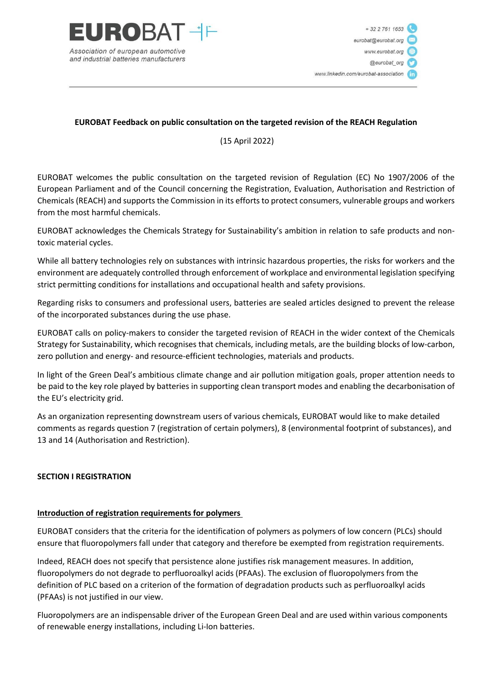

## **EUROBAT Feedback on public consultation on the targeted revision of the REACH Regulation**

(15 April 2022)

EUROBAT welcomes the public consultation on the targeted revision of Regulation (EC) No 1907/2006 of the European Parliament and of the Council concerning the Registration, Evaluation, Authorisation and Restriction of Chemicals (REACH) and supports the Commission in its efforts to protect consumers, vulnerable groups and workers from the most harmful chemicals.

EUROBAT acknowledges the Chemicals Strategy for Sustainability's ambition in relation to safe products and nontoxic material cycles.

While all battery technologies rely on substances with intrinsic hazardous properties, the risks for workers and the environment are adequately controlled through enforcement of workplace and environmental legislation specifying strict permitting conditions for installations and occupational health and safety provisions.

Regarding risks to consumers and professional users, batteries are sealed articles designed to prevent the release of the incorporated substances during the use phase.

EUROBAT calls on policy-makers to consider the targeted revision of REACH in the wider context of the Chemicals Strategy for Sustainability, which recognises that chemicals, including metals, are the building blocks of low-carbon, zero pollution and energy- and resource-efficient technologies, materials and products.

In light of the Green Deal's ambitious climate change and air pollution mitigation goals, proper attention needs to be paid to the key role played by batteries in supporting clean transport modes and enabling the decarbonisation of the EU's electricity grid.

As an organization representing downstream users of various chemicals, EUROBAT would like to make detailed comments as regards question 7 (registration of certain polymers), 8 (environmental footprint of substances), and 13 and 14 (Authorisation and Restriction).

### **SECTION I REGISTRATION**

### **Introduction of registration requirements for polymers**

EUROBAT considers that the criteria for the identification of polymers as polymers of low concern (PLCs) should ensure that fluoropolymers fall under that category and therefore be exempted from registration requirements.

Indeed, REACH does not specify that persistence alone justifies risk management measures. In addition, fluoropolymers do not degrade to perfluoroalkyl acids (PFAAs). The exclusion of fluoropolymers from the definition of PLC based on a criterion of the formation of degradation products such as perfluoroalkyl acids (PFAAs) is not justified in our view.

Fluoropolymers are an indispensable driver of the European Green Deal and are used within various components of renewable energy installations, including Li-Ion batteries.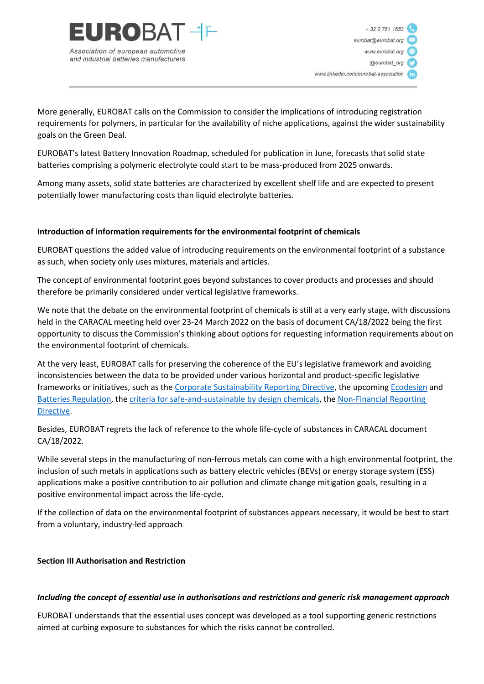

More generally, EUROBAT calls on the Commission to consider the implications of introducing registration requirements for polymers, in particular for the availability of niche applications, against the wider sustainability goals on the Green Deal.

EUROBAT's latest Battery Innovation Roadmap, scheduled for publication in June, forecasts that solid state batteries comprising a polymeric electrolyte could start to be mass-produced from 2025 onwards.

Among many assets, solid state batteries are characterized by excellent shelf life and are expected to present potentially lower manufacturing costs than liquid electrolyte batteries.

### **Introduction of information requirements for the environmental footprint of chemicals**

EUROBAT questions the added value of introducing requirements on the environmental footprint of a substance as such, when society only uses mixtures, materials and articles.

The concept of environmental footprint goes beyond substances to cover products and processes and should therefore be primarily considered under vertical legislative frameworks.

We note that the debate on the environmental footprint of chemicals is still at a very early stage, with discussions held in the CARACAL meeting held over 23-24 March 2022 on the basis of document CA/18/2022 being the first opportunity to discuss the Commission's thinking about options for requesting information requirements about on the environmental footprint of chemicals.

At the very least, EUROBAT calls for preserving the coherence of the EU's legislative framework and avoiding inconsistencies between the data to be provided under various horizontal and product-specific legislative frameworks or initiatives, such as the [Corporate Sustainability Reporting Directive,](https://eur-lex.europa.eu/legal-content/EN/TXT/?uri=CELEX%3A52021PC0189) the upcoming [Ecodesign](https://ec.europa.eu/growth/industry/sustainability/sustainable-product-policy-ecodesign_en) and [Batteries Regulation,](https://eur-lex.europa.eu/legal-content/EN/TXT/?uri=CELEX%3A52020PC0798) the [criteria for safe-and-sustainable by design chemicals,](https://ec.europa.eu/environment/safe-and-sustainable-design-criteria-chemicals-materials-and-products-first-stakeholders-workshop-2021-03-19_nl) th[e Non-Financial Reporting](https://ec.europa.eu/info/publications/210421-sustainable-finance-communication_en#csrd)  [Directive.](https://ec.europa.eu/info/publications/210421-sustainable-finance-communication_en#csrd)

Besides, EUROBAT regrets the lack of reference to the whole life-cycle of substances in CARACAL document CA/18/2022.

While several steps in the manufacturing of non-ferrous metals can come with a high environmental footprint, the inclusion of such metals in applications such as battery electric vehicles (BEVs) or energy storage system (ESS) applications make a positive contribution to air pollution and climate change mitigation goals, resulting in a positive environmental impact across the life-cycle.

If the collection of data on the environmental footprint of substances appears necessary, it would be best to start from a voluntary, industry-led approach.

### **Section III Authorisation and Restriction**

### *Including the concept of essential use in authorisations and restrictions and generic risk management approach*

EUROBAT understands that the essential uses concept was developed as a tool supporting generic restrictions aimed at curbing exposure to substances for which the risks cannot be controlled.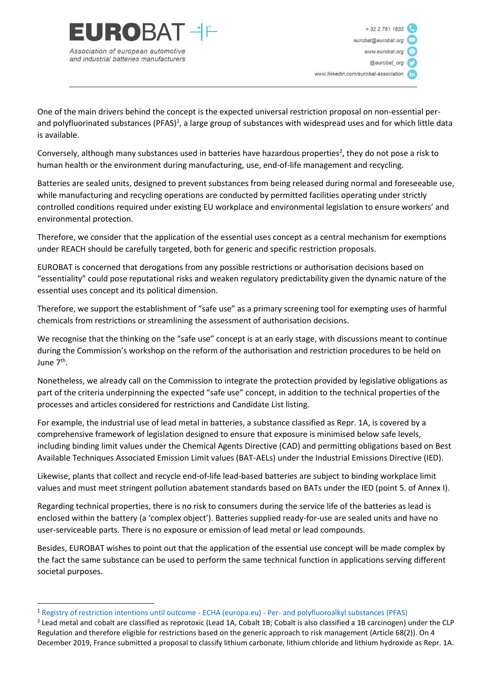

One of the main drivers behind the concept is the expected universal restriction proposal on non-essential perand polyfluorinated substances (PFAS)<sup>1</sup>, a large group of substances with widespread uses and for which little data is available.

Conversely, although many substances used in batteries have hazardous properties<sup>2</sup>, they do not pose a risk to human health or the environment during manufacturing, use, end-of-life management and recycling.

Batteries are sealed units, designed to prevent substances from being released during normal and foreseeable use, while manufacturing and recycling operations are conducted by permitted facilities operating under strictly controlled conditions required under existing EU workplace and environmental legislation to ensure workers' and environmental protection.

Therefore, we consider that the application of the essential uses concept as a central mechanism for exemptions under REACH should be carefully targeted, both for generic and specific restriction proposals.

EUROBAT is concerned that derogations from any possible restrictions or authorisation decisions based on "essentiality" could pose reputational risks and weaken regulatory predictability given the dynamic nature of the essential uses concept and its political dimension.

Therefore, we support the establishment of "safe use" as a primary screening tool for exempting uses of harmful chemicals from restrictions or streamlining the assessment of authorisation decisions.

We recognise that the thinking on the "safe use" concept is at an early stage, with discussions meant to continue during the Commission's workshop on the reform of the authorisation and restriction procedures to be held on June 7<sup>th</sup>.

Nonetheless, we already call on the Commission to integrate the protection provided by legislative obligations as part of the criteria underpinning the expected "safe use" concept, in addition to the technical properties of the processes and articles considered for restrictions and Candidate List listing.

For example, the industrial use of lead metal in batteries, a substance classified as Repr. 1A, is covered by a comprehensive framework of legislation designed to ensure that exposure is minimised below safe levels, including binding limit values under the Chemical Agents Directive (CAD) and permitting obligations based on Best Available Techniques Associated Emission Limit values (BAT-AELs) under the Industrial Emissions Directive (IED).

Likewise, plants that collect and recycle end-of-life lead-based batteries are subject to binding workplace limit values and must meet stringent pollution abatement standards based on BATs under the IED (point 5. of Annex I).

Regarding technical properties, there is no risk to consumers during the service life of the batteries as lead is enclosed within the battery (a 'complex object'). Batteries supplied ready-for-use are sealed units and have no user-serviceable parts. There is no exposure or emission of lead metal or lead compounds.

Besides, EUROBAT wishes to point out that the application of the essential use concept will be made complex by the fact the same substance can be used to perform the same technical function in applications serving different societal purposes.

<sup>1</sup> [Registry of restriction intentions until outcome -](https://echa.europa.eu/fr/registry-of-restriction-intentions/-/dislist/details/0b0236e18663449b) ECHA (europa.eu) - Per- and polyfluoroalkyl substances (PFAS)

 $^2$  Lead metal and cobalt are classified as reprotoxic (Lead 1A, Cobalt 1B; Cobalt is also classified a 1B carcinogen) under the CLP Regulation and therefore eligible for restrictions based on the generic approach to risk management (Article 68(2)). On 4 December 2019, France submitted a proposal to classify lithium carbonate, lithium chloride and lithium hydroxide as Repr. 1A.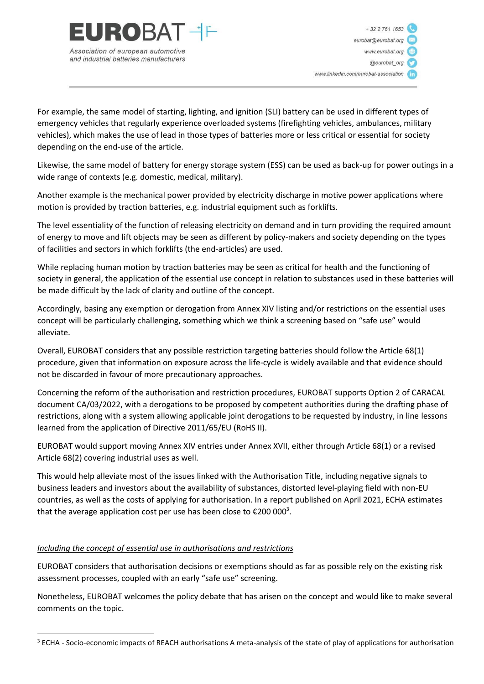

For example, the same model of starting, lighting, and ignition (SLI) battery can be used in different types of emergency vehicles that regularly experience overloaded systems (firefighting vehicles, ambulances, military vehicles), which makes the use of lead in those types of batteries more or less critical or essential for society depending on the end-use of the article.

Likewise, the same model of battery for energy storage system (ESS) can be used as back-up for power outings in a wide range of contexts (e.g. domestic, medical, military).

Another example is the mechanical power provided by electricity discharge in motive power applications where motion is provided by traction batteries, e.g. industrial equipment such as forklifts.

The level essentiality of the function of releasing electricity on demand and in turn providing the required amount of energy to move and lift objects may be seen as different by policy-makers and society depending on the types of facilities and sectors in which forklifts (the end-articles) are used.

While replacing human motion by traction batteries may be seen as critical for health and the functioning of society in general, the application of the essential use concept in relation to substances used in these batteries will be made difficult by the lack of clarity and outline of the concept.

Accordingly, basing any exemption or derogation from Annex XIV listing and/or restrictions on the essential uses concept will be particularly challenging, something which we think a screening based on "safe use" would alleviate.

Overall, EUROBAT considers that any possible restriction targeting batteries should follow the Article 68(1) procedure, given that information on exposure across the life-cycle is widely available and that evidence should not be discarded in favour of more precautionary approaches.

Concerning the reform of the authorisation and restriction procedures, EUROBAT supports Option 2 of CARACAL document CA/03/2022, with a derogations to be proposed by competent authorities during the drafting phase of restrictions, along with a system allowing applicable joint derogations to be requested by industry, in line lessons learned from the application of Directive 2011/65/EU (RoHS II).

EUROBAT would support moving Annex XIV entries under Annex XVII, either through Article 68(1) or a revised Article 68(2) covering industrial uses as well.

This would help alleviate most of the issues linked with the Authorisation Title, including negative signals to business leaders and investors about the availability of substances, distorted level-playing field with non-EU countries, as well as the costs of applying for authorisation. In a report published on April 2021, ECHA estimates that the average application cost per use has been close to  $\epsilon$ 200 000<sup>3</sup>.

# *Including the concept of essential use in authorisations and restrictions*

EUROBAT considers that authorisation decisions or exemptions should as far as possible rely on the existing risk assessment processes, coupled with an early "safe use" screening.

Nonetheless, EUROBAT welcomes the policy debate that has arisen on the concept and would like to make several comments on the topic.

<sup>&</sup>lt;sup>3</sup> ECHA - Socio-economic impacts of REACH authorisations A meta-analysis of the state of play of applications for authorisation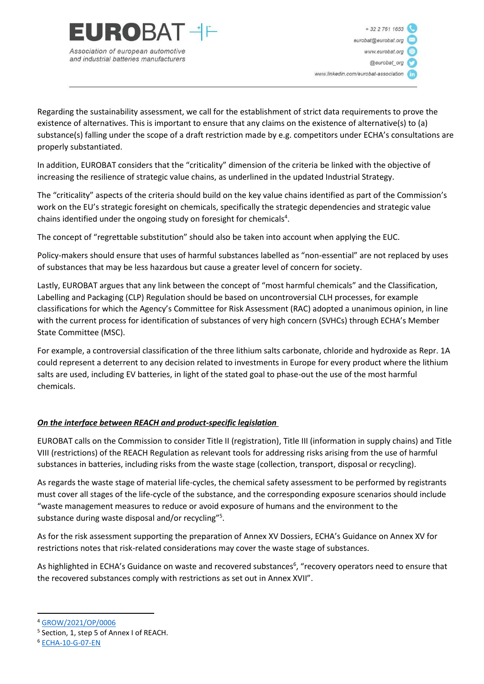

Association of european automotive and industrial batteries manufacturers

 $+ 32 2 761 1653$ eurobat@eurobat.org www.eurobat.org @eurobat ord www.linkedin.com/eurobat-association

Regarding the sustainability assessment, we call for the establishment of strict data requirements to prove the existence of alternatives. This is important to ensure that any claims on the existence of alternative(s) to (a) substance(s) falling under the scope of a draft restriction made by e.g. competitors under ECHA's consultations are properly substantiated.

In addition, EUROBAT considers that the "criticality" dimension of the criteria be linked with the objective of increasing the resilience of strategic value chains, as underlined in the updated Industrial Strategy.

The "criticality" aspects of the criteria should build on the key value chains identified as part of the Commission's work on the EU's strategic foresight on chemicals, specifically the strategic dependencies and strategic value chains identified under the ongoing study on foresight for chemicals<sup>4</sup>.

The concept of "regrettable substitution" should also be taken into account when applying the EUC.

Policy-makers should ensure that uses of harmful substances labelled as "non-essential" are not replaced by uses of substances that may be less hazardous but cause a greater level of concern for society.

Lastly, EUROBAT argues that any link between the concept of "most harmful chemicals" and the Classification, Labelling and Packaging (CLP) Regulation should be based on uncontroversial CLH processes, for example classifications for which the Agency's Committee for Risk Assessment (RAC) adopted a unanimous opinion, in line with the current process for identification of substances of very high concern (SVHCs) through ECHA's Member State Committee (MSC).

For example, a controversial classification of the three lithium salts carbonate, chloride and hydroxide as Repr. 1A could represent a deterrent to any decision related to investments in Europe for every product where the lithium salts are used, including EV batteries, in light of the stated goal to phase-out the use of the most harmful chemicals.

# *On the interface between REACH and product-specific legislation*

EUROBAT calls on the Commission to consider Title II (registration), Title III (information in supply chains) and Title VIII (restrictions) of the REACH Regulation as relevant tools for addressing risks arising from the use of harmful substances in batteries, including risks from the waste stage (collection, transport, disposal or recycling).

As regards the waste stage of material life-cycles, the chemical safety assessment to be performed by registrants must cover all stages of the life-cycle of the substance, and the corresponding exposure scenarios should include "waste management measures to reduce or avoid exposure of humans and the environment to the substance during waste disposal and/or recycling"<sup>5</sup>.

As for the risk assessment supporting the preparation of Annex XV Dossiers, ECHA's Guidance on Annex XV for restrictions notes that risk-related considerations may cover the waste stage of substances.

As highlighted in ECHA's Guidance on waste and recovered substances<sup>6</sup>, "recovery operators need to ensure that the recovered substances comply with restrictions as set out in Annex XVII".

<sup>4</sup> [GROW/2021/OP/0006](https://etendering.ted.europa.eu/cft/cft-display.html?cftId=8496)

<sup>&</sup>lt;sup>5</sup> Section, 1, step 5 of Annex I of REACH.

<sup>6</sup> [ECHA-10-G-07-EN](https://echa.europa.eu/documents/10162/23036412/waste_recovered_en.pdf/657a2803-710c-472b-8922-f5c94642f836)